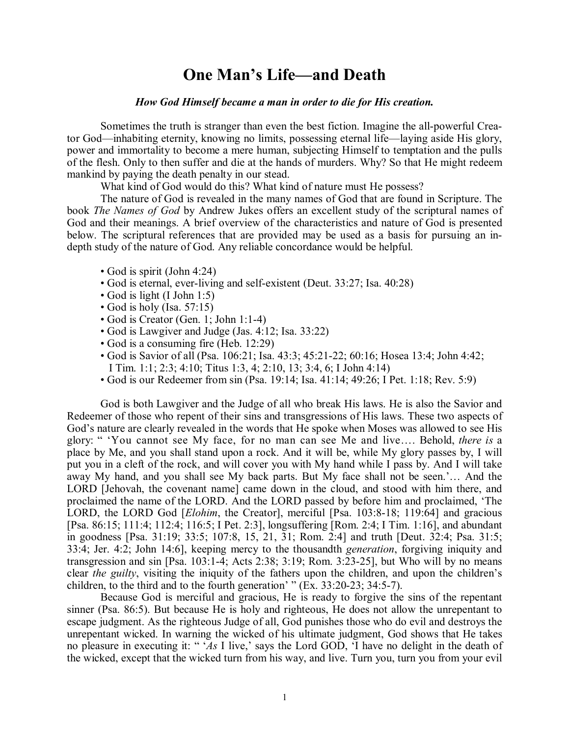## **One Man's Life—and Death**

## *How God Himself became a man in order to die for His creation.*

Sometimes the truth is stranger than even the best fiction. Imagine the all-powerful Creator God—inhabiting eternity, knowing no limits, possessing eternal life—laying aside His glory, power and immortality to become a mere human, subjecting Himself to temptation and the pulls of the flesh. Only to then suffer and die at the hands of murders. Why? So that He might redeem mankind by paying the death penalty in our stead.

What kind of God would do this? What kind of nature must He possess?

The nature of God is revealed in the many names of God that are found in Scripture. The book *The Names of God* by Andrew Jukes offers an excellent study of the scriptural names of God and their meanings. A brief overview of the characteristics and nature of God is presented below. The scriptural references that are provided may be used as a basis for pursuing an indepth study of the nature of God. Any reliable concordance would be helpful.

- God is spirit (John 4:24)
- God is eternal, ever-living and self-existent (Deut. 33:27; Isa. 40:28)
- God is light (I John 1:5)
- God is holy (Isa.  $57:15$ )
- $\bullet$  God is Creator (Gen. 1; John 1:1-4)
- God is Lawgiver and Judge (Jas. 4:12; Isa. 33:22)
- God is a consuming fire (Heb. 12:29)
- God is Savior of all (Psa.  $106:21$ ; Isa.  $43:3$ ;  $45:21-22$ ;  $60:16$ ; Hosea 13:4; John 4:42; I Tim. 1:1; 2:3; 4:10; Titus 1:3, 4; 2:10, 13; 3:4, 6; I John 4:14)
- God is our Redeemer from sin (Psa. 19:14; Isa. 41:14; 49:26; I Pet. 1:18; Rev. 5:9)

God is both Lawgiver and the Judge of all who break His laws. He is also the Savior and Redeemer of those who repent of their sins and transgressions of His laws. These two aspects of God's nature are clearly revealed in the words that He spoke when Moses was allowed to see His glory: " 'You cannot see My face, for no man can see Me and live…. Behold, *there is* a place by Me, and you shall stand upon a rock. And it will be, while My glory passes by, I will put you in a cleft of the rock, and will cover you with My hand while I pass by. And I will take away My hand, and you shall see My back parts. But My face shall not be seen.'… And the LORD [Jehovah, the covenant name] came down in the cloud, and stood with him there, and proclaimed the name of the LORD. And the LORD passed by before him and proclaimed, 'The LORD, the LORD God *[Elohim*, the Creator], merciful *[Psa. 103:8-18; 119:64]* and gracious [Psa. 86:15; 111:4; 112:4; 116:5; I Pet. 2:3], longsuffering [Rom. 2:4; I Tim. 1:16], and abundant in goodness [Psa. 31:19; 33:5; 107:8, 15, 21, 31; Rom. 2:4] and truth [Deut. 32:4; Psa. 31:5; 33:4; Jer. 4:2; John 14:6], keeping mercy to the thousandth *generation*, forgiving iniquity and transgression and sin [Psa. 103:1-4; Acts 2:38; 3:19; Rom. 3:23-25], but Who will by no means clear *the guilty*, visiting the iniquity of the fathers upon the children, and upon the children's children, to the third and to the fourth generation' "  $(E_{X.} 33:20-23; 34:5-7)$ .

Because God is merciful and gracious, He is ready to forgive the sins of the repentant sinner (Psa. 86:5). But because He is holy and righteous, He does not allow the unrepentant to escape judgment. As the righteous Judge of all, God punishes those who do evil and destroys the unrepentant wicked. In warning the wicked of his ultimate judgment, God shows that He takes no pleasure in executing it: " '*As* I live,' says the Lord GOD, 'I have no delight in the death of the wicked, except that the wicked turn from his way, and live. Turn you, turn you from your evil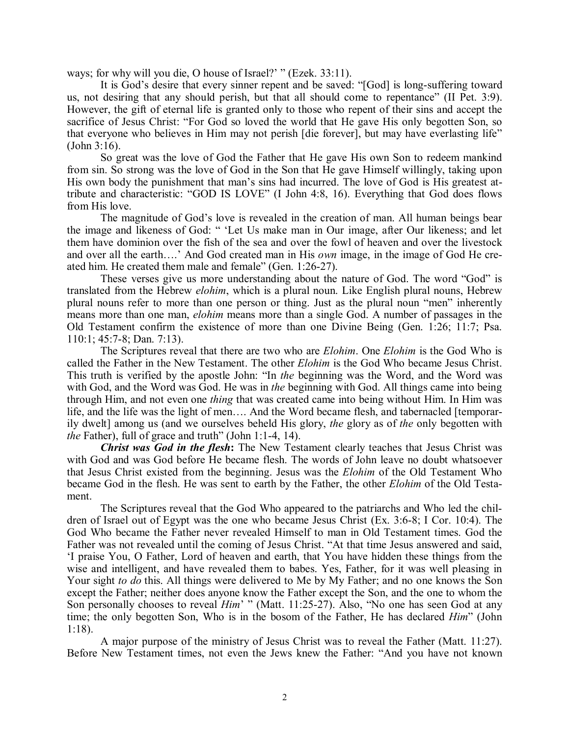ways; for why will you die, O house of Israel?' " (Ezek. 33:11).

It is God's desire that every sinner repent and be saved: "[God] is long-suffering toward us, not desiring that any should perish, but that all should come to repentance" (II Pet. 3:9). However, the gift of eternal life is granted only to those who repent of their sins and accept the sacrifice of Jesus Christ: "For God so loved the world that He gave His only begotten Son, so that everyone who believes in Him may not perish [die forever], but may have everlasting life" (John 3:16).

So great was the love of God the Father that He gave His own Son to redeem mankind from sin.So strong was the love of God in the Son that He gave Himself willingly, taking upon His own body the punishment that man's sins had incurred. The love of God is His greatest attribute and characteristic: "GOD IS LOVE" (I John 4:8, 16). Everything that God does flows from His love.

The magnitude of God's love is revealed in the creation of man. All human beings bear the image and likeness of God: " 'Let Us make man in Our image, after Our likeness; and let them have dominion over the fish of the sea and over the fowl of heaven and over the livestock and over all the earth….' And God created man in His *own* image, in the image of God He cre ated him. He created them male and female" (Gen.  $1:26-27$ ).

These verses give us more understanding about the nature of God. The word "God" is translated from the Hebrew *elohim*, which is a plural noun. Like English plural nouns, Hebrew plural nouns refer to more than one person or thing. Just as the plural noun "men" inherently means more than one man, *elohim* means more than a single God. A number of passages in the Old Testament confirm the existence of more than one Divine Being (Gen. 1:26; 11:7; Psa.  $110:1$ ; 45:7-8; Dan. 7:13).

The Scriptures reveal that there are two who are *Elohim*. One *Elohim* is the God Who is called the Father in the New Testament. The other *Elohim* is the God Who became Jesus Christ. This truth is verified by the apostle John: "In *the* beginning was the Word, and the Word was with God, and the Word was God. He was in *the* beginning with God. All things came into being through Him, and not even one *thing* that was created came into being without Him. In Him was life, and the life was the light of men…. And the Word became flesh, and tabernacled [temporarily dwelt] among us (and we ourselves beheld His glory, *the* glory as of *the* only begotten with *the* Father), full of grace and truth" (John 1:1-4, 14).

*Christ was God in the flesh***:** The New Testament clearly teaches that Jesus Christ was with God and was God before He became flesh. The words of John leave no doubt whatsoever that Jesus Christ existed from the beginning. Jesus was the *Elohim* of the Old Testament Who became God in the flesh. He was sent to earth by the Father, the other *Elohim* of the Old Testa ment.

The Scriptures reveal that the God Who appeared to the patriarchs and Who led the chil dren of Israel out of Egypt was the one who became Jesus Christ (Ex. 3:68; I Cor. 10:4). The God Who became the Father never revealed Himself to man in Old Testament times. God the Father was not revealed until the coming of Jesus Christ. "At that time Jesus answered and said, 'I praise You, O Father, Lord of heaven and earth, that You have hidden these things from the wise and intelligent, and have revealed them to babes. Yes, Father, for it was well pleasing in Your sight *to do* this. All things were delivered to Me by My Father; and no one knows the Son except the Father; neither does anyone know the Father except the Son, and the one to whom the Son personally chooses to reveal *Him*' " (Matt. 11:25-27). Also, "No one has seen God at any time; the only begotten Son, Who is in the bosom of the Father, He has declared *Him*" (John 1:18).

A major purpose of the ministry of Jesus Christ was to reveal the Father (Matt. 11:27). Before New Testament times, not even the Jews knew the Father: "And you have not known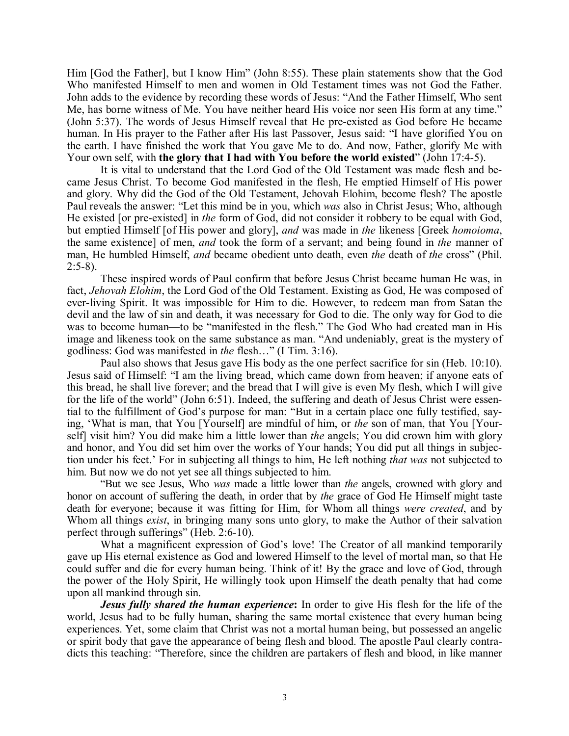Him [God the Father], but I know Him" (John 8:55). These plain statements show that the God Who manifested Himself to men and women in Old Testament times was not God the Father. John adds to the evidence by recording these words of Jesus: "And the Father Himself, Who sent Me, has borne witness of Me. You have neither heard His voice nor seen His form at any time." (John 5:37). The words of Jesus Himself reveal that He pre-existed as God before He became human. In His prayer to the Father after His last Passover, Jesus said: "I have glorified You on the earth. I have finished the work that You gave Me to do. And now, Father, glorify Me with Your own self, with **the glory that I had with You before the world existed" (John 17:4-5).** 

It is vital to understand that the Lord God of the Old Testament was made flesh and be came Jesus Christ. To become God manifested in the flesh, He emptied Himself of His power and glory. Why did the God of the Old Testament, Jehovah Elohim, become flesh? The apostle Paul reveals the answer: "Let this mind be in you, which *was* also in Christ Jesus; Who, although He existed [or preexisted] in *the* form of God, did not consider it robbery to be equal with God, but emptied Himself [of His power and glory], *and* was made in *the* likeness [Greek *homoioma*, the same existence] of men, *and* took the form of a servant; and being found in *the* manner of man, He humbled Himself, *and* became obedient unto death, even *the* death of *the* cross" (Phil.  $2:5-8$ ).

These inspired words of Paul confirm that before Jesus Christ became human He was, in fact, *Jehovah Elohim*, the Lord God of the Old Testament. Existing as God, He was composed of ever-living Spirit. It was impossible for Him to die. However, to redeem man from Satan the devil and the law of sin and death, it was necessary for God to die. The only way for God to die was to become human—to be "manifested in the flesh." The God Who had created man in His image and likeness took on the same substance as man. "And undeniably, great is the mystery of godliness: God was manifested in *the* flesh…" (I Tim. 3:16).

Paul also shows that Jesus gave His body as the one perfect sacrifice for sin (Heb. 10:10). Jesus said of Himself: "I am the living bread, which came down from heaven; if anyone eats of this bread, he shall live forever; and the bread that I will give is even My flesh, which I will give for the life of the world" (John 6:51). Indeed, the suffering and death of Jesus Christ were essential to the fulfillment of God's purpose for man: "But in a certain place one fully testified, saying, 'What is man, that You [Yourself] are mindful of him, or *the* son of man, that You [Your self] visit him? You did make him a little lower than *the* angels; You did crown him with glory and honor, and You did set him over the works of Your hands; You did put all things in subjection under his feet.' For in subjecting all things to him, He left nothing *that was* not subjected to him. But now we do not yet see all things subjected to him.

"But we see Jesus, Who *was* made a little lower than *the* angels, crowned with glory and honor on account of suffering the death, in order that by *the* grace of God He Himself might taste death for everyone; because it was fitting for Him, for Whom all things *were created*, and by Whom all things *exist*, in bringing many sons unto glory, to make the Author of their salvation perfect through sufferings" (Heb. 2:6-10).

What a magnificent expression of God's love! The Creator of all mankind temporarily gave up His eternal existence as God and lowered Himself to the level of mortal man, so that He could suffer and die for every human being. Think of it! By the grace and love of God, through the power of the Holy Spirit, He willingly took upon Himself the death penalty that had come upon all mankind through sin.

*Jesus fully shared the human experience***:** In order to give His flesh for the life of the world, Jesus had to be fully human, sharing the same mortal existence that every human being experiences. Yet, some claim that Christ was not a mortal human being, but possessed an angelic or spirit body that gave the appearance of being flesh and blood. The apostle Paul clearly contra dicts this teaching: "Therefore, since the children are partakers of flesh and blood, in like manner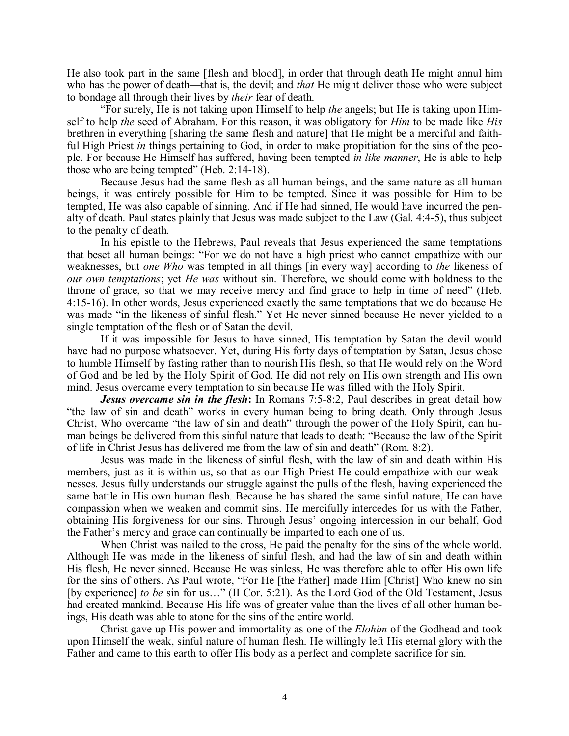He also took part in the same [flesh and blood], in order that through death He might annul him who has the power of death—that is, the devil; and *that* He might deliver those who were subject to bondage all through their lives by *their* fear of death.

"For surely, He is not taking upon Himself to help *the* angels; but He is taking upon Him self to help *the* seed of Abraham. For this reason, it was obligatory for *Him* to be made like *His* brethren in everything [sharing the same flesh and nature] that He might be a merciful and faithful High Priest *in* things pertaining to God, in order to make propitiation for the sins of the people. For because He Himself has suffered, having been tempted *in like manner*, He is able to help those who are being tempted" (Heb.  $2:14-18$ ).

Because Jesus had the same flesh as all human beings, and the same nature as all human beings, it was entirely possible for Him to be tempted. Since it was possible for Him to be tempted, He was also capable of sinning. And if He had sinned, He would have incurred the pen alty of death. Paul states plainly that Jesus was made subject to the Law (Gal. 4:45), thus subject to the penalty of death.

In his epistle to the Hebrews, Paul reveals that Jesus experienced the same temptations that beset all human beings: "For we do not have a high priest who cannot empathize with our weaknesses, but *one Who* was tempted in all things [in every way] according to *the* likeness of *our own temptations*; yet *He was* without sin. Therefore, we should come with boldness to the throne of grace, so that we may receive mercy and find grace to help in time of need" (Heb. 4:1516). In other words, Jesus experienced exactly the same temptations that we do because He was made "in the likeness of sinful flesh." Yet He never sinned because He never yielded to a single temptation of the flesh or of Satan the devil.

If it was impossible for Jesus to have sinned, His temptation by Satan the devil would have had no purpose whatsoever. Yet, during His forty days of temptation by Satan, Jesus chose to humble Himself by fasting rather than to nourish His flesh, so that He would rely on the Word of God and be led by the Holy Spirit of God. He did not rely on His own strength and His own mind. Jesus overcame every temptation to sin because He was filled with the Holy Spirit.

*Jesus overcame sin in the flesh*: In Romans 7:5-8:2, Paul describes in great detail how "the law of sin and death" works in every human being to bring death. Only through Jesus Christ, Who overcame "the law of sin and death" through the power of the Holy Spirit, can human beings be delivered from this sinful nature that leads to death: "Because the law of the Spirit of life in Christ Jesus has delivered me from the law of sin and death" (Rom. 8:2).

Jesus was made in the likeness of sinful flesh, with the law of sin and death within His members, just as it is within us, so that as our High Priest He could empathize with our weaknesses. Jesus fully understands our struggle against the pulls of the flesh, having experienced the same battle in His own human flesh. Because he has shared the same sinful nature, He can have compassion when we weaken and commit sins. He mercifully intercedes for us with the Father, obtaining His forgiveness for our sins. Through Jesus' ongoing intercession in our behalf, God the Father's mercy and grace can continually be imparted to each one of us.

When Christ was nailed to the cross, He paid the penalty for the sins of the whole world. Although He was made in the likeness of sinful flesh, and had the law of sin and death within His flesh, He never sinned. Because He was sinless, He was therefore able to offer His own life for the sins of others. As Paul wrote, "For He [the Father] made Him [Christ] Who knew no sin [by experience] *to be* sin for us..." (II Cor. 5:21). As the Lord God of the Old Testament, Jesus had created mankind. Because His life was of greater value than the lives of all other human be ings, His death was able to atone for the sins of the entire world.

Christ gave up His power and immortality as one of the *Elohim* of the Godhead and took upon Himself the weak, sinful nature of human flesh. He willingly left His eternal glory with the Father and came to this earth to offer His body as a perfect and complete sacrifice for sin.